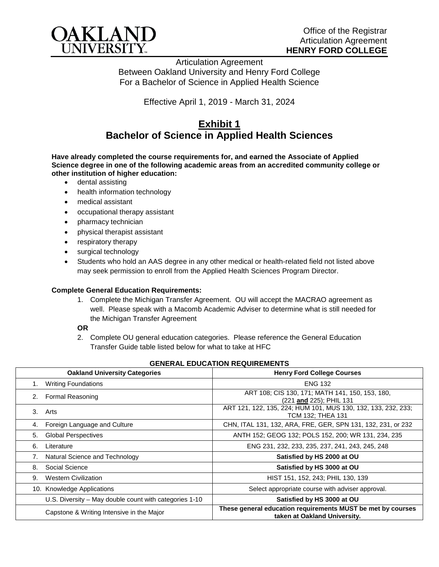

Articulation Agreement Between Oakland University and Henry Ford College For a Bachelor of Science in Applied Health Science

Effective April 1, 2019 - March 31, 2024

# **Exhibit 1 Bachelor of Science in Applied Health Sciences**

**Have already completed the course requirements for, and earned the Associate of Applied Science degree in one of the following academic areas from an accredited community college or other institution of higher education:**

- dental assisting
- health information technology
- medical assistant
- occupational therapy assistant
- pharmacy technician
- physical therapist assistant
- respiratory therapy
- surgical technology
- Students who hold an AAS degree in any other medical or health-related field not listed above may seek permission to enroll from the Applied Health Sciences Program Director.

## **Complete General Education Requirements:**

1. Complete the Michigan Transfer Agreement. OU will accept the MACRAO agreement as well. Please speak with a Macomb Academic Adviser to determine what is still needed for the Michigan Transfer Agreement

#### **OR**

2. Complete OU general education categories. Please reference the General Education Transfer Guide table listed below for what to take at HFC

| <b>Oakland University Categories</b>                   | <b>Henry Ford College Courses</b>                                                           |
|--------------------------------------------------------|---------------------------------------------------------------------------------------------|
| <b>Writing Foundations</b><br>1.                       | <b>ENG 132</b>                                                                              |
| Formal Reasoning<br>2.                                 | ART 108; CIS 130, 171; MATH 141, 150, 153, 180,<br>(221 and 225); PHIL 131                  |
| 3.<br>Arts                                             | ART 121, 122, 135, 224; HUM 101, MUS 130, 132, 133, 232, 233;<br>TCM 132; THEA 131          |
| Foreign Language and Culture<br>4.                     | CHN, ITAL 131, 132, ARA, FRE, GER, SPN 131, 132, 231, or 232                                |
| <b>Global Perspectives</b><br>5.                       | ANTH 152; GEOG 132; POLS 152, 200; WR 131, 234, 235                                         |
| 6.<br>Literature                                       | ENG 231, 232, 233, 235, 237, 241, 243, 245, 248                                             |
| Natural Science and Technology<br>7.                   | Satisfied by HS 2000 at OU                                                                  |
| Social Science<br>8.                                   | Satisfied by HS 3000 at OU                                                                  |
| <b>Western Civilization</b><br>9.                      | HIST 151, 152, 243; PHIL 130, 139                                                           |
| 10. Knowledge Applications                             | Select appropriate course with adviser approval.                                            |
| U.S. Diversity – May double count with categories 1-10 | Satisfied by HS 3000 at OU                                                                  |
| Capstone & Writing Intensive in the Major              | These general education requirements MUST be met by courses<br>taken at Oakland University. |

## **GENERAL EDUCATION REQUIREMENTS**